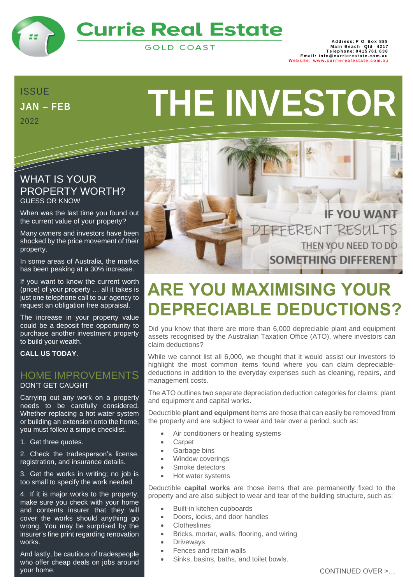

# **Currie Real Estate**

**GOLD COAST** 

888 Address: P O Box<br>1217 Main Beach Qld<br>15761 Telephone: 0415 **Em a i l: in fo @ cu rri e re s t a t e . c o m. au** Website: www.cu[rri](http://www.currierealestate.com.au/)erealestate.com.au

## **JAN – FEB** 2022

<u>Santa Contra Contra Contra Contra Contra Contra Contra Contra Contra Contra Contra Contra Contra Contra Contra</u>

# **THE INVESTOR**

## WHAT IS YOUR PROPERTY WORTH? GUESS OR KNOW

When was the last time you found out the current value of your property?

Many owners and investors have been shocked by the price movement of their property.

In some areas of Australia, the market has been peaking at a 30% increase.

If you want to know the current worth (price) of your property … all it takes is just one telephone call to our agency to request an obligation free appraisal.

The increase in your property value could be a deposit free opportunity to purchase another investment property to build your wealth.

**CALL US TODAY**.

#### HOME IMPROVEMENTS DON'T GET CAUGHT

Carrying out any work on a property needs to be carefully considered. Whether replacing a hot water system or building an extension onto the home, you must follow a simple checklist.

1. Get three quotes.

2. Check the tradesperson's license, registration, and insurance details.

3. Get the works in writing; no job is too small to specify the work needed.

4. If it is major works to the property, make sure you check with your home and contents insurer that they will cover the works should anything go wrong. You may be surprised by the insurer's fine print regarding renovation works.

And lastly, be cautious of tradespeople who offer cheap deals on jobs around your home.



# **ARE YOU MAXIMISING YOUR DEPRECIABLE DEDUCTIONS?**

Did you know that there are more than 6,000 depreciable plant and equipment assets recognised by the Australian Taxation Office (ATO), where investors can claim deductions?

While we cannot list all 6,000, we thought that it would assist our investors to highlight the most common items found where you can claim depreciabledeductions in addition to the everyday expenses such as cleaning, repairs, and management costs.

The ATO outlines two separate depreciation deduction categories for claims: plant and equipment and capital works.

Deductible **plant and equipment** items are those that can easily be removed from the property and are subject to wear and tear over a period, such as:

- Air conditioners or heating systems
- **Carpet**
- Garbage bins
- Window coverings
- Smoke detectors
- Hot water systems

Deductible **capital works** are those items that are permanently fixed to the property and are also subject to wear and tear of the building structure, such as:

- Built-in kitchen cupboards
- Doors, locks, and door handles
- **Clotheslines**
- Bricks, mortar, walls, flooring, and wiring
- Driveways
- Fences and retain walls
- Sinks, basins, baths, and toilet bowls.